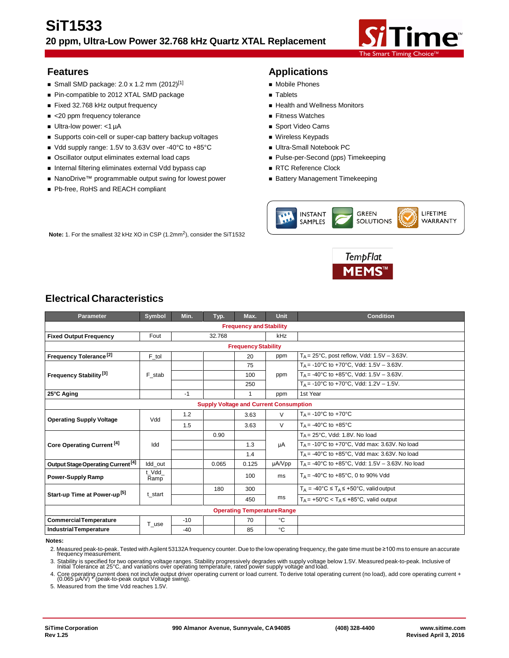

- Small SMD package:  $2.0 \times 1.2$  mm  $(2012)^{[1]}$  Mobile Phones
- Pin-compatible to 2012 XTAL SMD package Tablets
- Fixed 32.768 kHz output frequency **All and Well and Wellness Monitors**
- <20 ppm frequency tolerance 
Fitness Watches
- Ultra-low power: <1 µA Sport Video Cams
- Supports coin-cell or super-cap battery backup voltages Wireless Keypads
- Vdd supply range: 1.5V to 3.63V over -40°C to +85°C Ultra-Small Notebook PC
- Oscillator output eliminates external load caps **Access** Pulse-per-Second (pps) Timekeeping
- Internal filtering eliminates external Vdd bypass cap RTC Reference Clock
- NanoDrive™ programmable output swing for lowest power Battery Management Timekeeping

**Note:** 1. For the smallest 32 kHz XO in CSP (1.2mm<sup>2</sup>), consider the SiT1532

■ Pb-free, RoHS and REACH compliant

# **Features Applications**

- 
- 
- 
- 
- 
- 
- 
- 
- 
- 





# **Electrical Characteristics**

| Symbol                                        | Min.                | Typ.   | Max.         | <b>Unit</b> | <b>Condition</b>                                                     |  |
|-----------------------------------------------|---------------------|--------|--------------|-------------|----------------------------------------------------------------------|--|
| <b>Frequency and Stability</b>                |                     |        |              |             |                                                                      |  |
| Fout                                          |                     | 32.768 |              | kHz         |                                                                      |  |
|                                               |                     |        |              |             |                                                                      |  |
| F_tol                                         |                     |        | 20           | ppm         | $T_A = 25^{\circ}$ C, post reflow, Vdd: 1.5V - 3.63V.                |  |
|                                               |                     |        | 75           |             | $T_A$ = -10°C to +70°C, Vdd: 1.5V - 3.63V.                           |  |
| F stab                                        |                     |        | 100          | ppm         | T <sub>A</sub> = -40°C to +85°C, Vdd: 1.5V - 3.63V.                  |  |
|                                               |                     |        | 250          |             | $T_A$ = -10°C to +70°C, Vdd: 1.2V – 1.5V.                            |  |
|                                               | $-1$                |        | $\mathbf{1}$ | ppm         | 1st Year                                                             |  |
| <b>Supply Voltage and Current Consumption</b> |                     |        |              |             |                                                                      |  |
| Vdd                                           | 1.2                 |        | 3.63         | $\vee$      | $T_A = -10$ °C to +70°C                                              |  |
|                                               | 1.5                 |        | 3.63         | $\vee$      | $T_A = -40$ °C to $+85$ °C                                           |  |
| Idd                                           |                     | 0.90   |              |             | $T_A = 25^{\circ}$ C, Vdd: 1.8V. No load                             |  |
|                                               |                     |        | 1.3          | μA          | $T_A$ = -10°C to +70°C, Vdd max: 3.63V. No load                      |  |
|                                               |                     |        | 1.4          |             | $T_A$ = -40°C to +85°C, Vdd max: 3.63V. No load                      |  |
| Idd out                                       |                     | 0.065  | 0.125        | µA/Vpp      | $T_A = -40^{\circ}$ C to $+85^{\circ}$ C, Vdd: 1.5V - 3.63V. No load |  |
| t Vdd<br>Ramp                                 |                     |        | 100          | ms          | $T_{\Delta}$ = -40°C to +85°C, 0 to 90% Vdd                          |  |
| t start                                       |                     | 180    | 300          | ms          | $T_A = -40^{\circ}C \le T_A \le +50^{\circ}C$ , valid output         |  |
|                                               |                     |        | 450          |             | $Ta = +50^{\circ}C < Ta \leq +85^{\circ}C$ . valid output            |  |
| <b>Operating Temperature Range</b>            |                     |        |              |             |                                                                      |  |
|                                               | $-10$               |        | 70           | °C          |                                                                      |  |
|                                               | $-40$               |        | 85           | °C          |                                                                      |  |
|                                               | $T$ <sub>_use</sub> |        |              |             | <b>Frequency Stability</b>                                           |  |

#### **Notes:**

2. Measured peak-to-peak. Tested with Agilent 53132A frequency counter. Due to the low operating frequency, the gate time must be ≥100 ms to ensure an accurate frequency measurement.

3. Stability is specified for two operating voltage ranges. Stability progressively degrades with supply voltage below 1.5V. Measured peak-to-peak. Inclusive of<br>Initial Tolerance at 25°C, and variations over operating temp

4. Core operating current does not include output driver operating current or load current. To derive total operating current (no load), add core operating current <sup>+</sup> (0.065 µA/V) \* (peak-to-peak output Voltage swing).

5. Measured from the time Vdd reaches 1.5V.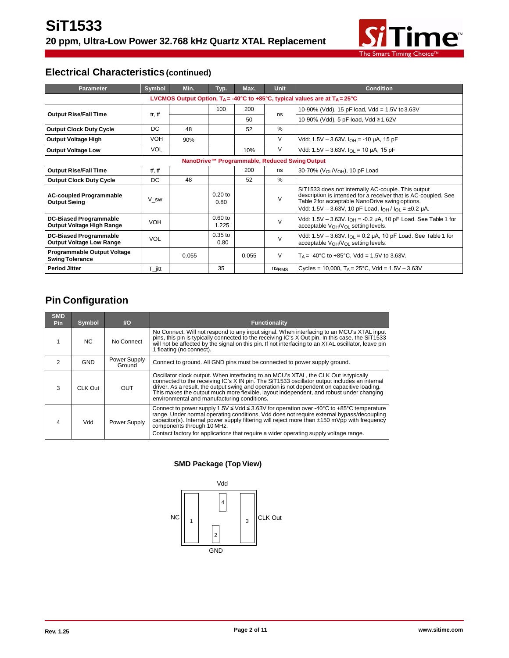

# **Electrical Characteristics (continued)**

| <b>Parameter</b>                                                                                         | <b>Symbol</b>        | Min.     | Typ.               | Max.  | <b>Unit</b>       | <b>Condition</b>                                                                                                                                                                                                                        |
|----------------------------------------------------------------------------------------------------------|----------------------|----------|--------------------|-------|-------------------|-----------------------------------------------------------------------------------------------------------------------------------------------------------------------------------------------------------------------------------------|
| LVCMOS Output Option, $T_A = -40^{\circ}C$ to $+85^{\circ}C$ , typical values are at $T_A = 25^{\circ}C$ |                      |          |                    |       |                   |                                                                                                                                                                                                                                         |
| <b>Output Rise/Fall Time</b>                                                                             |                      |          | 100                | 200   |                   | 10-90% (Vdd), 15 pF load, Vdd = 1.5V to 3.63V                                                                                                                                                                                           |
|                                                                                                          | tr, tf               |          |                    | 50    | ns                | 10-90% (Vdd), 5 pF load, Vdd ≥ 1.62V                                                                                                                                                                                                    |
| <b>Output Clock Duty Cycle</b>                                                                           | DC                   | 48       |                    | 52    | $\%$              |                                                                                                                                                                                                                                         |
| <b>Output Voltage High</b>                                                                               | <b>VOH</b>           | 90%      |                    |       | V                 | Vdd: $1.5V - 3.63V$ . $I_{OH} = -10 \mu A$ , 15 pF                                                                                                                                                                                      |
| <b>Output Voltage Low</b>                                                                                | <b>VOL</b>           |          |                    | 10%   | V                 | Vdd: 1.5V - 3.63V. $I_{OL}$ = 10 µA, 15 pF                                                                                                                                                                                              |
| NanoDrive™ Programmable, Reduced Swing Output                                                            |                      |          |                    |       |                   |                                                                                                                                                                                                                                         |
| <b>Output Rise/Fall Time</b>                                                                             | tf, tf               |          |                    | 200   | ns                | 30-70% (V <sub>OL</sub> /V <sub>OH</sub> ), 10 pF Load                                                                                                                                                                                  |
| <b>Output Clock Duty Cycle</b>                                                                           | DC.                  | 48       |                    | 52    | $\frac{0}{0}$     |                                                                                                                                                                                                                                         |
| <b>AC-coupled Programmable</b><br><b>Output Swing</b>                                                    | V_sw                 |          | $0.20$ to<br>0.80  |       | $\vee$            | SiT1533 does not internally AC-couple. This output<br>description is intended for a receiver that is AC-coupled. See<br>Table 2 for acceptable NanoDrive swing options.<br>Vdd: 1.5V - 3.63V, 10 pF Load, $I_{OH}/I_{OL} = \pm 0.2$ µA. |
| <b>DC-Biased Programmable</b><br>Output Voltage High Range                                               | <b>VOH</b>           |          | $0.60$ to<br>1.225 |       | $\mathsf{V}$      | Vdd: $1.5V - 3.63V$ . $I_{OH} = -0.2 \mu A$ , 10 pF Load. See Table 1 for<br>acceptable $V_{OH}/V_{OL}$ setting levels.                                                                                                                 |
| <b>DC-Biased Programmable</b><br><b>Output Voltage Low Range</b>                                         | <b>VOL</b>           |          | $0.35$ to<br>0.80  |       | $\vee$            | Vdd: 1.5V – 3.63V. $I_{\Omega}$ = 0.2 µA, 10 pF Load. See Table 1 for<br>acceptable V <sub>OH</sub> /V <sub>OL</sub> setting levels.                                                                                                    |
| <b>Programmable Output Voltage</b><br><b>Swing Tolerance</b>                                             |                      | $-0.055$ |                    | 0.055 | V                 | $T_A = -40^{\circ}$ C to $+85^{\circ}$ C, Vdd = 1.5V to 3.63V.                                                                                                                                                                          |
| <b>Period Jitter</b>                                                                                     | $T_{\parallel}$ jitt |          | 35                 |       | ns <sub>RMS</sub> | Cycles = 10,000, $T_A = 25^{\circ}$ C, Vdd = 1.5V - 3.63V                                                                                                                                                                               |

# **Pin Configuration**

| <b>SMD</b><br><b>Pin</b> | Symbol  | $U$                    | Functionality                                                                                                                                                                                                                                                                                                                                                                                                                 |
|--------------------------|---------|------------------------|-------------------------------------------------------------------------------------------------------------------------------------------------------------------------------------------------------------------------------------------------------------------------------------------------------------------------------------------------------------------------------------------------------------------------------|
|                          | NC.     | No Connect             | No Connect. Will not respond to any input signal. When interfacing to an MCU's XTAL input<br>pins, this pin is typically connected to the receiving IC's X Out pin. In this case, the SiT1533<br>will not be affected by the signal on this pin. If not interfacing to an XTAL oscillator, leave pin<br>1 floating (no connect).                                                                                              |
| 2                        | GND     | Power Supply<br>Ground | Connect to ground. All GND pins must be connected to power supply ground.                                                                                                                                                                                                                                                                                                                                                     |
| 3                        | CLK Out | <b>OUT</b>             | Oscillator clock output. When interfacing to an MCU's XTAL, the CLK Out is typically<br>connected to the receiving IC's X IN pin. The SiT1533 oscillator output includes an internal<br>driver. As a result, the output swing and operation is not dependent on capacitive loading.<br>This makes the output much more flexible, layout independent, and robust under changing<br>environmental and manufacturing conditions. |
| 4                        | Vdd     | Power Supply           | Connect to power supply 1.5V $\leq$ Vdd $\leq$ 3.63V for operation over -40°C to +85°C temperature<br>range. Under normal operating conditions, Vdd does not require external bypass/decoupling<br>capacitor(s). Internal power supply filtering will reject more than ±150 mVpp with frequency<br>components through 10 MHz.<br>Contact factory for applications that require a wider operating supply voltage range.        |

### **SMD Package (Top View)**

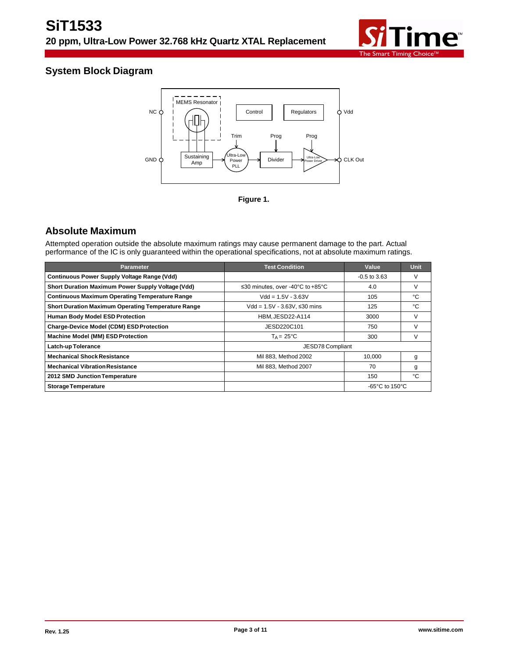

# **System Block Diagram**





# **Absolute Maximum**

Attempted operation outside the absolute maximum ratings may cause permanent damage to the part. Actual performance of the IC is only guaranteed within the operational specifications, not at absolute maximum ratings.

| <b>Parameter</b>                                          | <b>Test Condition</b>            | Value                               | <b>Unit</b> |
|-----------------------------------------------------------|----------------------------------|-------------------------------------|-------------|
| <b>Continuous Power Supply Voltage Range (Vdd)</b>        |                                  | $-0.5$ to 3.63                      | V           |
| Short Duration Maximum Power Supply Voltage (Vdd)         | ≤30 minutes, over -40°C to +85°C | 4.0                                 | V           |
| <b>Continuous Maximum Operating Temperature Range</b>     | $Vdd = 1.5V - 3.63V$             | 105                                 | °C          |
| <b>Short Duration Maximum Operating Temperature Range</b> | $Vdd = 1.5V - 3.63V$ . ≤30 mins  | 125                                 | °C          |
| <b>Human Body Model ESD Protection</b>                    | HBM, JESD22-A114                 | 3000                                | V           |
| <b>Charge-Device Model (CDM) ESD Protection</b>           | JESD220C101                      | 750                                 | V           |
| <b>Machine Model (MM) ESD Protection</b>                  | $T_A = 25^{\circ}C$              | 300                                 | V           |
| <b>Latch-up Tolerance</b>                                 | JESD78 Compliant                 |                                     |             |
| <b>Mechanical Shock Resistance</b>                        | Mil 883, Method 2002             | 10.000                              | g           |
| <b>Mechanical Vibration Resistance</b>                    | Mil 883, Method 2007             | 70                                  | g           |
| 2012 SMD Junction Temperature                             |                                  | 150                                 | °C          |
| <b>Storage Temperature</b>                                |                                  | $-65^{\circ}$ C to 150 $^{\circ}$ C |             |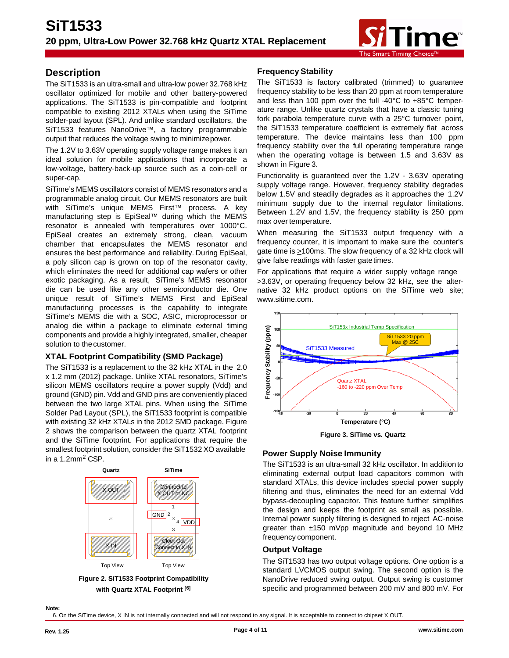

# **Description**

The SiT1533 is an ultra-small and ultra-low power 32.768 kHz oscillator optimized for mobile and other battery-powered applications. The SiT1533 is pin-compatible and footprint compatible to existing 2012 XTALs when using the SiTime solder-pad layout (SPL). And unlike standard oscillators, the SiT1533 features NanoDrive™, a factory programmable output that reduces the voltage swing to minimizepower.

The 1.2V to 3.63V operating supply voltage range makes it an ideal solution for mobile applications that incorporate a low-voltage, battery-back-up source such as a coin-cell or super-cap.

SiTime's MEMS oscillators consist of MEMS resonators and a programmable analog circuit. Our MEMS resonators are built with SiTime's unique MEMS First<sup>™</sup> process. A key manufacturing step is EpiSeal™ during which the MEMS resonator is annealed with temperatures over 1000°C. EpiSeal creates an extremely strong, clean, vacuum chamber that encapsulates the MEMS resonator and ensures the best performance and reliability. During EpiSeal, a poly silicon cap is grown on top of the resonator cavity, which eliminates the need for additional cap wafers or other exotic packaging. As a result, SiTime's MEMS resonator die can be used like any other semiconductor die. One unique result of SiTime's MEMS First and EpiSeal manufacturing processes is the capability to integrate SiTime's MEMS die with a SOC, ASIC, microprocessor or analog die within a package to eliminate external timing components and provide a highly integrated, smaller, cheaper solution to thecustomer.

### **XTAL Footprint Compatibility (SMD Package)**

The SiT1533 is a replacement to the 32 kHz XTAL in the 2.0 x 1.2 mm (2012) package. Unlike XTAL resonators, SiTime's silicon MEMS oscillators require a power supply (Vdd) and ground (GND) pin. Vdd and GND pins are conveniently placed between the two large XTAL pins. When using the SiTime Solder Pad Layout (SPL), the SiT1533 footprint is compatible with existing 32 kHz XTALs in the 2012 SMD package. Figure 2 shows the comparison between the quartz XTAL footprint and the SiTime footprint. For applications that require the smallest footprint solution, consider the SiT1532 XO available in a 1.2mm<sup>2</sup> CSP.



**Figure 2. SiT1533 Footprint Compatibility with Quartz XTAL Footprint [6]**

### **Frequency Stability**

The SiT1533 is factory calibrated (trimmed) to guarantee frequency stability to be less than 20 ppm at room temperature and less than 100 ppm over the full -40°C to +85°C temperature range. Unlike quartz crystals that have a classic tuning fork parabola temperature curve with a 25°C turnover point, the SiT1533 temperature coefficient is extremely flat across temperature. The device maintains less than 100 ppm frequency stability over the full operating temperature range when the operating voltage is between 1.5 and 3.63V as shown in Figure 3.

Functionality is guaranteed over the 1.2V - 3.63V operating supply voltage range. However, frequency stability degrades below 1.5V and steadily degrades as it approaches the 1.2V minimum supply due to the internal regulator limitations. Between 1.2V and 1.5V, the frequency stability is 250 ppm max over temperature.

When measuring the SiT1533 output frequency with a frequency counter, it is important to make sure the counter's gate time is >100ms. The slow frequency of a 32 kHz clock will give false readings with faster gate times.

For applications that require a wider supply voltage range >3.63V, or operating frequency below 32 kHz, see the alternative 32 kHz product options on the SiTime web site[;](http://www.sitime.com/) [www.sitime.com.](http://www.sitime.com/)



**Figure 3. SiTime vs. Quartz**

### **Power Supply Noise Immunity**

The SiT1533 is an ultra-small 32 kHz oscillator. In additionto eliminating external output load capacitors common with standard XTALs, this device includes special power supply filtering and thus, eliminates the need for an external Vdd bypass-decoupling capacitor. This feature further simplifies the design and keeps the footprint as small as possible. Internal power supply filtering is designed to reject AC-noise greater than ±150 mVpp magnitude and beyond 10 MHz frequency component.

### **Output Voltage**

The SiT1533 has two output voltage options. One option is a standard LVCMOS output swing. The second option is the NanoDrive reduced swing output. Output swing is customer specific and programmed between 200 mV and 800 mV. For

6. On the SiTime device, X IN is not internally connected and will not respond to any signal. It is acceptable to connect to chipset X OUT.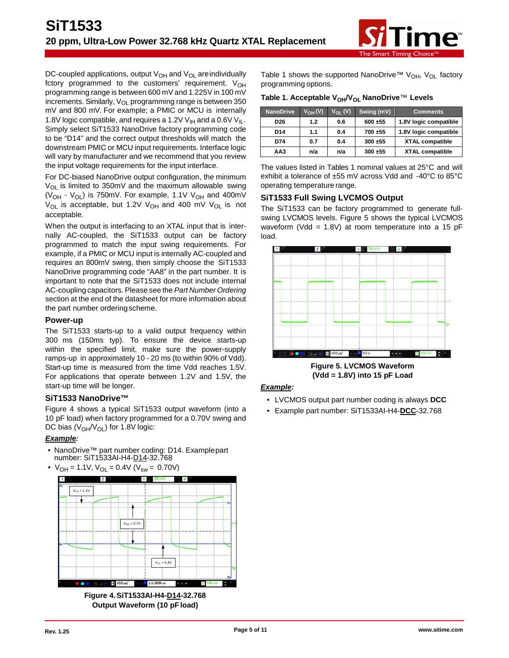

DC-coupled applications, output  $V_{OH}$  and  $V_{OL}$  are individually fctory programmed to the customers' requirement.  $V_{OH}$ programming range is between 600 mV and 1.225V in 100 mV increments. Similarly,  $V_{OL}$  programming range is between 350 mV and 800 mV. For example; a PMIC or MCU is internally 1.8V logic compatible, and requires a 1.2V  $V_{H}$  and a 0.6V  $V_{H}$ . Simply select SiT1533 NanoDrive factory programming code to be "D14" and the correct output thresholds will match the downstream PMIC or MCU input requirements. Interface logic will vary by manufacturer and we recommend that you review the input voltage requirements for the input interface.

For DC-biased NanoDrive output configuration, the minimum  $V_{OL}$  is limited to 350mV and the maximum allowable swing ( $V_{OH}$  -  $V_{OL}$ ) is 750mV. For example, 1.1V  $V_{OH}$  and 400mV  $V_{OL}$  is acceptable, but 1.2V  $V_{OH}$  and 400 mV  $V_{OL}$  is not acceptable.

When the output is interfacing to an XTAL input that is internally AC-coupled, the SiT1533 output can be factory programmed to match the input swing requirements. For example, if a PMIC or MCU input is internally AC-coupled and requires an 800mV swing, then simply choose the SiT1533 NanoDrive programming code "AA8" in the part number. It is important to note that the SiT1533 does not include internal AC-coupling capacitors. Please see the *Part Number Ordering* section at the end of the datasheet for more information about the part number orderingscheme.

#### **Power-up**

The SiT1533 starts-up to a valid output frequency within 300 ms (150ms typ). To ensure the device starts-up within the specified limit, make sure the power-supply ramps-up in approximately 10 - 20 ms (to within 90% of Vdd). Start-up time is measured from the time Vdd reaches 1.5V. For applications that operate between 1.2V and 1.5V, the start-up time will be longer.

#### **SiT1533 NanoDrive™**

Figure 4 shows a typical SiT1533 output waveform (into a 10 pF load) when factory programmed for a 0.70V swing and DC bias  $(V_{OH}/V_{OH})$  for 1.8V logic:

#### *Example:*

- NanoDrive™ part number coding: D14. Examplepart number: SiT1533AI-H4-D14-32.768
- $V_{OH} = 1.1V$ ,  $V_{OL} = 0.4V$  ( $V_{sw} = 0.70V$ )



**Figure 4.SiT1533AI-H4-D14-32.768 Output Waveform (10 pFload)**

Table 1 shows the supported NanoDrive<sup>TM</sup> V<sub>OH</sub>, V<sub>OL</sub> factory programming options.

#### Table 1. Acceptable V<sub>OH</sub>/V<sub>OL</sub> NanoDrive™ Levels

| <b>NanoDrive</b> | $V_{OH}(V)$ | $V_{\Omega I}$ (V) | Swing (mV) | <b>Comments</b>        |
|------------------|-------------|--------------------|------------|------------------------|
| D <sub>26</sub>  | 1.2         | 0.6                | 600 ±55    | 1.8V logic compatible  |
| D <sub>14</sub>  | 1.1         | 0.4                | 700 ±55    | 1.8V logic compatible  |
| D74              | 0.7         | 0.4                | 300 ±55    | <b>XTAL compatible</b> |
| AA3              | n/a         | n/a                | 300 ±55    | <b>XTAL compatible</b> |

The values listed in Tables 1 nominal values at 25°C and will exhibit a tolerance of ±55 mV across Vdd and -40°C to 85°C operating temperature range.

#### **SiT1533 Full Swing LVCMOS Output**

The SiT1533 can be factory programmed to generate fullswing LVCMOS levels. Figure 5 shows the typical LVCMOS waveform (Vdd = 1.8V) at room temperature into a 15 pF load.



**Figure 5. LVCMOS Waveform (Vdd = 1.8V) into 15 pF Load**

#### *Example:*

- LVCMOS output part number coding is always **DCC**
- Example part number: SiT1533AI-H4-**DCC**-32.768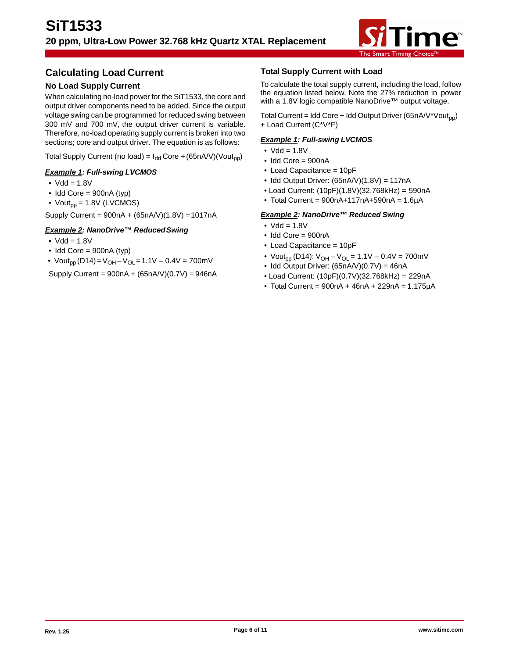

# **Calculating Load Current**

## **No Load Supply Current**

When calculating no-load power for the SiT1533, the core and output driver components need to be added. Since the output voltage swing can be programmed for reduced swing between 300 mV and 700 mV, the output driver current is variable. Therefore, no-load operating supply current is broken into two sections; core and output driver. The equation is as follows:

Total Supply Current (no load) =  $I_{dd}$  Core +(65nA/V)(Vout<sub>pp</sub>)

### *Example 1: Full-swing LVCMOS*

- $\bullet$  Vdd = 1.8V
- $\bullet$  Idd Core = 900nA (typ)
- $Vout_{DD} = 1.8V$  (LVCMOS)

Supply Current = 900nA + (65nA/V)(1.8V) =1017nA

### *Example 2: NanoDrive™ ReducedSwing*

- $Vdd = 1.8V$
- Idd Core = 900nA (typ)
- Vout<sub>pp</sub> (D14) = V<sub>OH</sub> V<sub>OL</sub> = 1.1V 0.4V = 700mV

Supply Current = 900nA + (65nA/V)(0.7V) = 946nA

### **Total Supply Current with Load**

To calculate the total supply current, including the load, follow the equation listed below. Note the 27% reduction in power with a 1.8V logic compatible NanoDrive™ output voltage.

Total Current = Idd Core + Idd Output Driver (65nA/V\*Vout<sub>nn</sub>) + Load Current (C\*V\*F)

### *Example 1: Full-swing LVCMOS*

- $\bullet$  Vdd = 1.8V
- Idd Core = 900nA
- Load Capacitance = 10pF
- Idd Output Driver:  $(65nAV)(1.8V) = 117nA$
- Load Current: (10pF)(1.8V)(32.768kHz) = 590nA
- $\bullet$  Total Current = 900nA+117nA+590nA = 1.6µA

### *Example 2: NanoDrive™ Reduced Swing*

- $\bullet$  Vdd = 1.8V
- $\bullet$  Idd Core = 900nA
- Load Capacitance = 10pF
- Vout<sub>pp</sub> (D14):  $V_{OH} V_{OL} = 1.1V 0.4V = 700mV$
- Idd Output Driver:  $(65nAV)(0.7V) = 46nA$
- Load Current: (10pF)(0.7V)(32.768kHz) = 229nA
- $\bullet$  Total Current = 900nA + 46nA + 229nA = 1.175uA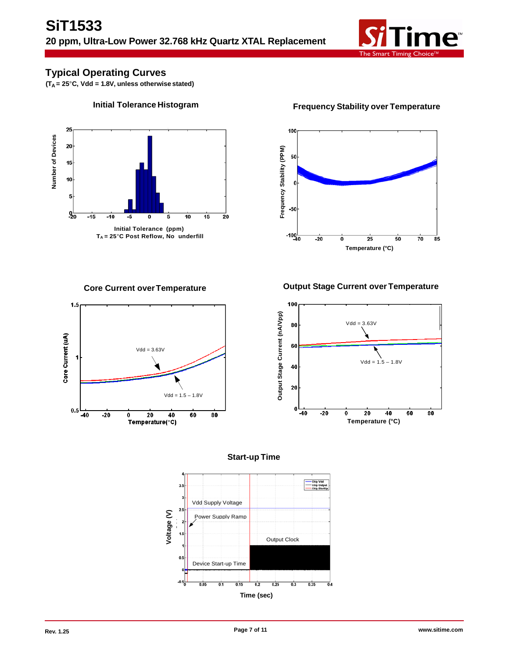

# **Typical Operating Curves**

**(TA = 25**°**C, Vdd = 1.8V, unless otherwise stated)**



**Initial Tolerance Histogram Frequency Stability over Temperature**



**Core Current overTemperature Output Stage Current over Temperature**





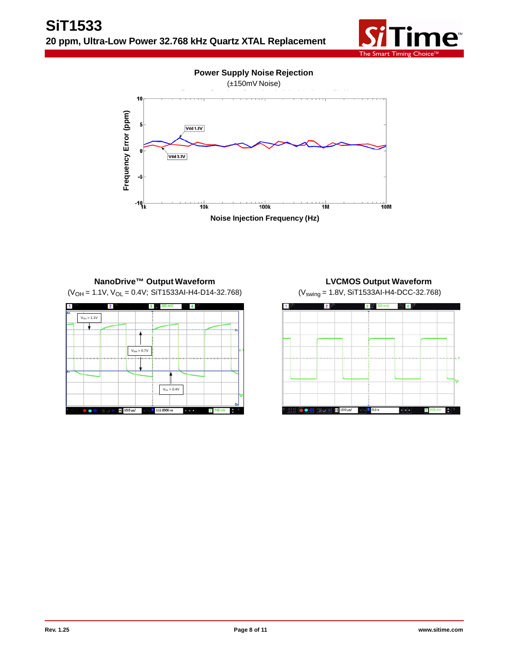

**Power Supply Noise Rejection**





# **NanoDrive™ Output Waveform**

 $(V<sub>OH</sub> = 1.1V, V<sub>OL</sub> = 0.4V; SIT1533Al-H4-D14-32.768)$ 



**LVCMOS Output Waveform** (Vswing = 1.8V, SiT1533AI-H4-DCC-32.768)

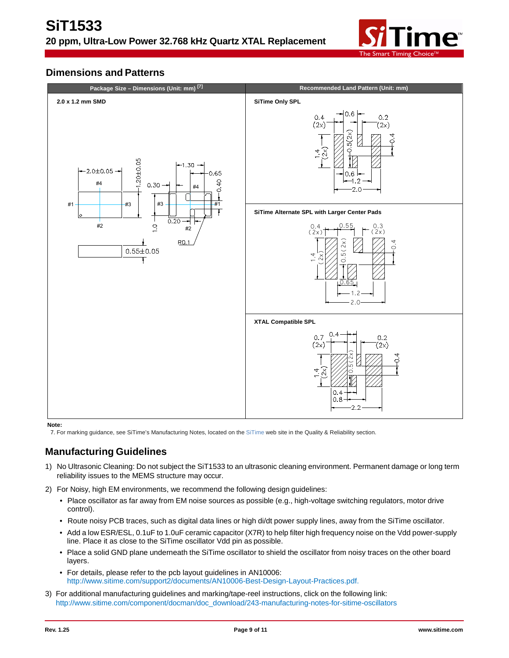

# **Dimensions and Patterns**



#### **Note:**

7. For marking guidance, see SiTime's Manufacturing Notes, located on the [SiTime](http://www.sitime.com/support/quality-and-reliability#magictabs_MWIpq_4) web site in the Quality & Reliability section.

# **Manufacturing Guidelines**

- 1) No Ultrasonic Cleaning: Do not subject the SiT1533 to an ultrasonic cleaning environment. Permanent damage or long term reliability issues to the MEMS structure may occur.
- 2) For Noisy, high EM environments, we recommend the following design guidelines:
	- Place oscillator as far away from EM noise sources as possible (e.g., high-voltage switching regulators, motor drive control).
	- Route noisy PCB traces, such as digital data lines or high di/dt power supply lines, away from the SiTime oscillator.
	- Add a low ESR/ESL, 0.1uF to 1.0uF ceramic capacitor (X7R) to help filter high frequency noise on the Vdd power-supply line. Place it as close to the SiTime oscillator Vdd pin as possible.
	- Place a solid GND plane underneath the SiTime oscillator to shield the oscillator from noisy traces on the other board layers.
	- For details, please refer to the pcb layout guidelines in AN10006: <http://www.sitime.com/support2/documents/AN10006-Best-Design-Layout-Practices.pdf.>
- 3) For additional manufacturing guidelines and marking/tape-reel instructions, click on the following link: [http://www.sitime.com/component/docman/doc\\_download/243-manufacturing-notes-for-sitime-oscillators](http://www.sitime.com/component/docman/doc_download/243-manufacturing-notes-for-sitime-oscillators)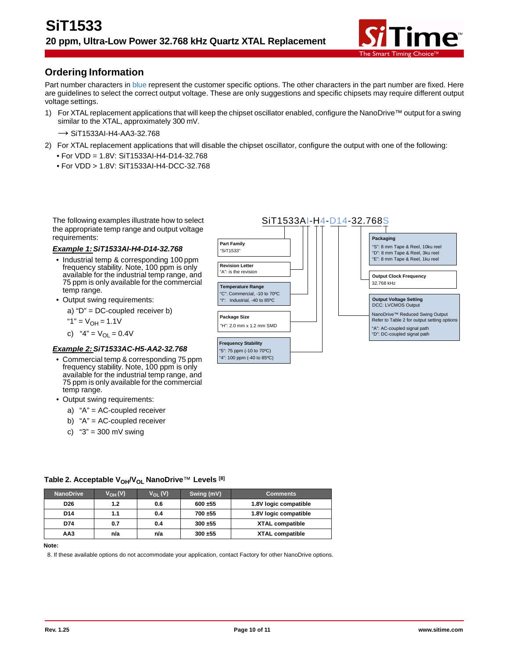

# **Ordering Information**

Part number characters in blue represent the customer specific options. The other characters in the part number are fixed. Here are guidelines to select the correct output voltage. These are only suggestions and specific chipsets may require different output voltage settings.

1) For XTAL replacement applications that will keep the chipset oscillator enabled, configure the NanoDrive™ output for a swing similar to the XTAL, approximately 300 mV.

 $\rightarrow$  SiT1533AI-H4-AA3-32.768

- 2) For XTAL replacement applications that will disable the chipset oscillator, configure the output with one of the following:
	- For VDD = 1.8V: SiT1533AI-H4-D14-32.768
	- For VDD > 1.8V: SiT1533AI-H4-DCC-32.768

The following examples illustrate how to select the appropriate temp range and output voltage requirements:

#### *Example 1:SiT1533AI-H4-D14-32.768*

- Industrial temp & corresponding 100 ppm frequency stability. Note, 100 ppm is only available for the industrial temp range, and 75 ppm is only available for the commercial temp range.
- Output swing requirements:

a) "D" = DC-coupled receiver b)

$$
"1" = V_{OH} = 1.1V
$$

c)  $"4" = V_{\text{OI}} = 0.4V$ 

### *Example 2:SiT1533AC-H5-AA2-32.768*

- Commercial temp & corresponding 75 ppm frequency stability. Note, 100 ppm is only available for the industrial temp range, and 75 ppm is only available for the commercial temp range.
- Output swing requirements:
	- a) "A" = AC-coupled receiver
	- b) "A" = AC-coupled receiver
	- c)  $"3" = 300$  mV swing



| <b>NanoDrive</b> | $V_{OH}(V)$ | $V_{\Omega I}$ (V) | Swing (mV) | <b>Comments</b>        |
|------------------|-------------|--------------------|------------|------------------------|
| D <sub>26</sub>  | 1.2         | 0.6                | 600 ±55    | 1.8V logic compatible  |
| D <sub>14</sub>  | 1.1         | 0.4                | 700±55     | 1.8V logic compatible  |
| D74              | 0.7         | 0.4                | 300 ±55    | <b>XTAL compatible</b> |
| AA3              | n/a         | n/a                | 300 ±55    | <b>XTAL compatible</b> |

### Table 2. Acceptable V<sub>OH</sub>/V<sub>OL</sub> NanoDrive™ Levels <sup>[8]</sup>

**Note:**

8. If these available options do not accommodate your application, contact Factory for other NanoDrive options.